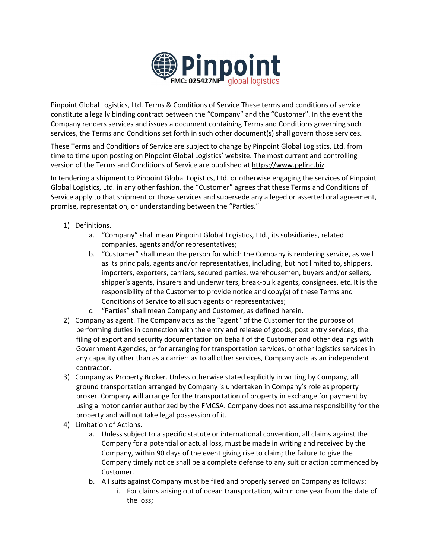

Pinpoint Global Logistics, Ltd. Terms & Conditions of Service These terms and conditions of service constitute a legally binding contract between the "Company" and the "Customer". In the event the Company renders services and issues a document containing Terms and Conditions governing such services, the Terms and Conditions set forth in such other document(s) shall govern those services.

These Terms and Conditions of Service are subject to change by Pinpoint Global Logistics, Ltd. from time to time upon posting on Pinpoint Global Logistics' website. The most current and controlling version of the Terms and Conditions of Service are published at https://www.pglinc.biz.

In tendering a shipment to Pinpoint Global Logistics, Ltd. or otherwise engaging the services of Pinpoint Global Logistics, Ltd. in any other fashion, the "Customer" agrees that these Terms and Conditions of Service apply to that shipment or those services and supersede any alleged or asserted oral agreement, promise, representation, or understanding between the "Parties."

- 1) Definitions.
	- a. "Company" shall mean Pinpoint Global Logistics, Ltd., its subsidiaries, related companies, agents and/or representatives;
	- b. "Customer" shall mean the person for which the Company is rendering service, as well as its principals, agents and/or representatives, including, but not limited to, shippers, importers, exporters, carriers, secured parties, warehousemen, buyers and/or sellers, shipper's agents, insurers and underwriters, break‐bulk agents, consignees, etc. It is the responsibility of the Customer to provide notice and copy(s) of these Terms and Conditions of Service to all such agents or representatives;
	- c. "Parties" shall mean Company and Customer, as defined herein.
- 2) Company as agent. The Company acts as the "agent" of the Customer for the purpose of performing duties in connection with the entry and release of goods, post entry services, the filing of export and security documentation on behalf of the Customer and other dealings with Government Agencies, or for arranging for transportation services, or other logistics services in any capacity other than as a carrier: as to all other services, Company acts as an independent contractor.
- 3) Company as Property Broker. Unless otherwise stated explicitly in writing by Company, all ground transportation arranged by Company is undertaken in Company's role as property broker. Company will arrange for the transportation of property in exchange for payment by using a motor carrier authorized by the FMCSA. Company does not assume responsibility for the property and will not take legal possession of it.
- 4) Limitation of Actions.
	- a. Unless subject to a specific statute or international convention, all claims against the Company for a potential or actual loss, must be made in writing and received by the Company, within 90 days of the event giving rise to claim; the failure to give the Company timely notice shall be a complete defense to any suit or action commenced by Customer.
	- b. All suits against Company must be filed and properly served on Company as follows:
		- i. For claims arising out of ocean transportation, within one year from the date of the loss;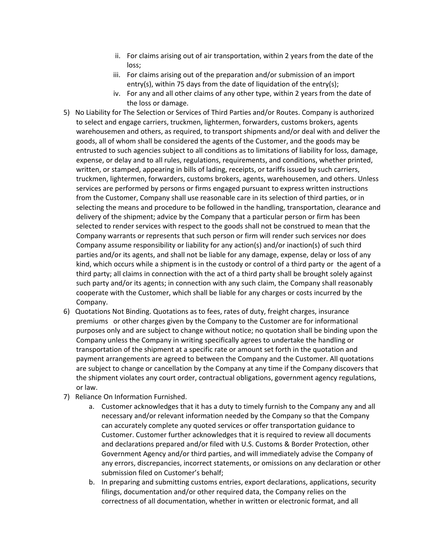- ii. For claims arising out of air transportation, within 2 years from the date of the loss;
- iii. For claims arising out of the preparation and/or submission of an import entry(s), within 75 days from the date of liquidation of the entry(s);
- iv. For any and all other claims of any other type, within 2 years from the date of the loss or damage.
- 5) No Liability for The Selection or Services of Third Parties and/or Routes. Company is authorized to select and engage carriers, truckmen, lightermen, forwarders, customs brokers, agents warehousemen and others, as required, to transport shipments and/or deal with and deliver the goods, all of whom shall be considered the agents of the Customer, and the goods may be entrusted to such agencies subject to all conditions as to limitations of liability for loss, damage, expense, or delay and to all rules, regulations, requirements, and conditions, whether printed, written, or stamped, appearing in bills of lading, receipts, or tariffs issued by such carriers, truckmen, lightermen, forwarders, customs brokers, agents, warehousemen, and others. Unless services are performed by persons or firms engaged pursuant to express written instructions from the Customer, Company shall use reasonable care in its selection of third parties, or in selecting the means and procedure to be followed in the handling, transportation, clearance and delivery of the shipment; advice by the Company that a particular person or firm has been selected to render services with respect to the goods shall not be construed to mean that the Company warrants or represents that such person or firm will render such services nor does Company assume responsibility or liability for any action(s) and/or inaction(s) of such third parties and/or its agents, and shall not be liable for any damage, expense, delay or loss of any kind, which occurs while a shipment is in the custody or control of a third party or the agent of a third party; all claims in connection with the act of a third party shall be brought solely against such party and/or its agents; in connection with any such claim, the Company shall reasonably cooperate with the Customer, which shall be liable for any charges or costs incurred by the Company.
- 6) Quotations Not Binding. Quotations as to fees, rates of duty, freight charges, insurance premiums or other charges given by the Company to the Customer are for informational purposes only and are subject to change without notice; no quotation shall be binding upon the Company unless the Company in writing specifically agrees to undertake the handling or transportation of the shipment at a specific rate or amount set forth in the quotation and payment arrangements are agreed to between the Company and the Customer. All quotations are subject to change or cancellation by the Company at any time if the Company discovers that the shipment violates any court order, contractual obligations, government agency regulations, or law.
- 7) Reliance On Information Furnished.
	- a. Customer acknowledges that it has a duty to timely furnish to the Company any and all necessary and/or relevant information needed by the Company so that the Company can accurately complete any quoted services or offer transportation guidance to Customer. Customer further acknowledges that it is required to review all documents and declarations prepared and/or filed with U.S. Customs & Border Protection, other Government Agency and/or third parties, and will immediately advise the Company of any errors, discrepancies, incorrect statements, or omissions on any declaration or other submission filed on Customer's behalf;
	- b. In preparing and submitting customs entries, export declarations, applications, security filings, documentation and/or other required data, the Company relies on the correctness of all documentation, whether in written or electronic format, and all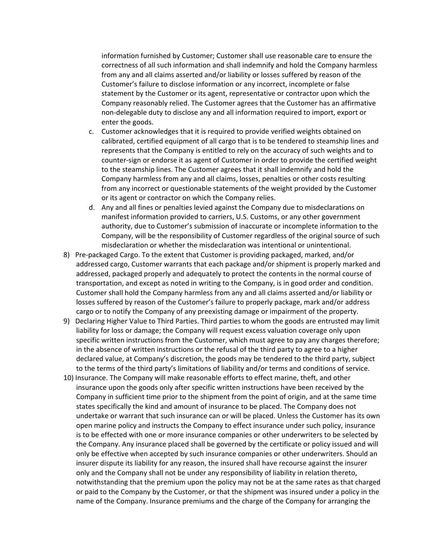information furnished by Customer; Customer shall use reasonable care to ensure the correctness of all such information and shall indemnify and hold the Company harmless from any and all claims asserted and/or liability or losses suffered by reason of the Customer's failure to disclose information or any incorrect, incomplete or false statement by the Customer or its agent, representative or contractor upon which the Company reasonably relied. The Customer agrees that the Customer has an affirmative non‐delegable duty to disclose any and all information required to import, export or enter the goods.

- c. Customer acknowledges that it is required to provide verified weights obtained on calibrated, certified equipment of all cargo that is to be tendered to steamship lines and represents that the Company is entitled to rely on the accuracy of such weights and to counter‐sign or endorse it as agent of Customer in order to provide the certified weight to the steamship lines. The Customer agrees that it shall indemnify and hold the Company harmless from any and all claims, losses, penalties or other costs resulting from any incorrect or questionable statements of the weight provided by the Customer or its agent or contractor on which the Company relies.
- d. Any and all fines or penalties levied against the Company due to misdeclarations on manifest information provided to carriers, U.S. Customs, or any other government authority, due to Customer's submission of inaccurate or incomplete information to the Company, will be the responsibility of Customer regardless of the original source of such misdeclaration or whether the misdeclaration was intentional or unintentional.
- 8) Pre-packaged Cargo. To the extent that Customer is providing packaged, marked, and/or addressed cargo, Customer warrants that each package and/or shipment is properly marked and addressed, packaged properly and adequately to protect the contents in the normal course of transportation, and except as noted in writing to the Company, is in good order and condition. Customer shall hold the Company harmless from any and all claims asserted and/or liability or losses suffered by reason of the Customer's failure to properly package, mark and/or address cargo or to notify the Company of any preexisting damage or impairment of the property.
- 9) Declaring Higher Value to Third Parties. Third parties to whom the goods are entrusted may limit liability for loss or damage; the Company will request excess valuation coverage only upon specific written instructions from the Customer, which must agree to pay any charges therefore; in the absence of written instructions or the refusal of the third party to agree to a higher declared value, at Company's discretion, the goods may be tendered to the third party, subject to the terms of the third party's limitations of liability and/or terms and conditions of service.
- 10) Insurance. The Company will make reasonable efforts to effect marine, theft, and other insurance upon the goods only after specific written instructions have been received by the Company in sufficient time prior to the shipment from the point of origin, and at the same time states specifically the kind and amount of insurance to be placed. The Company does not undertake or warrant that such insurance can or will be placed. Unless the Customer has its own open marine policy and instructs the Company to effect insurance under such policy, insurance is to be effected with one or more insurance companies or other underwriters to be selected by the Company. Any insurance placed shall be governed by the certificate or policy issued and will only be effective when accepted by such insurance companies or other underwriters. Should an insurer dispute its liability for any reason, the insured shall have recourse against the insurer only and the Company shall not be under any responsibility of liability in relation thereto, notwithstanding that the premium upon the policy may not be at the same rates as that charged or paid to the Company by the Customer, or that the shipment was insured under a policy in the name of the Company. Insurance premiums and the charge of the Company for arranging the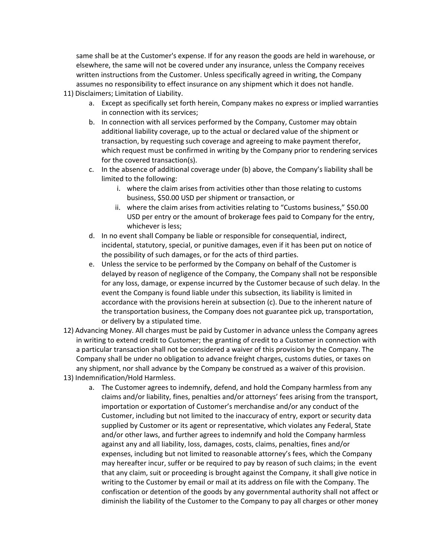same shall be at the Customer's expense. If for any reason the goods are held in warehouse, or elsewhere, the same will not be covered under any insurance, unless the Company receives written instructions from the Customer. Unless specifically agreed in writing, the Company assumes no responsibility to effect insurance on any shipment which it does not handle.

- 11) Disclaimers; Limitation of Liability.
	- a. Except as specifically set forth herein, Company makes no express or implied warranties in connection with its services;
	- b. In connection with all services performed by the Company, Customer may obtain additional liability coverage, up to the actual or declared value of the shipment or transaction, by requesting such coverage and agreeing to make payment therefor, which request must be confirmed in writing by the Company prior to rendering services for the covered transaction(s).
	- c. In the absence of additional coverage under (b) above, the Company's liability shall be limited to the following:
		- i. where the claim arises from activities other than those relating to customs business, \$50.00 USD per shipment or transaction, or
		- ii. where the claim arises from activities relating to "Customs business," \$50.00 USD per entry or the amount of brokerage fees paid to Company for the entry, whichever is less;
	- d. In no event shall Company be liable or responsible for consequential, indirect, incidental, statutory, special, or punitive damages, even if it has been put on notice of the possibility of such damages, or for the acts of third parties.
	- e. Unless the service to be performed by the Company on behalf of the Customer is delayed by reason of negligence of the Company, the Company shall not be responsible for any loss, damage, or expense incurred by the Customer because of such delay. In the event the Company is found liable under this subsection, its liability is limited in accordance with the provisions herein at subsection (c). Due to the inherent nature of the transportation business, the Company does not guarantee pick up, transportation, or delivery by a stipulated time.
- 12) Advancing Money. All charges must be paid by Customer in advance unless the Company agrees in writing to extend credit to Customer; the granting of credit to a Customer in connection with a particular transaction shall not be considered a waiver of this provision by the Company. The Company shall be under no obligation to advance freight charges, customs duties, or taxes on any shipment, nor shall advance by the Company be construed as a waiver of this provision.
- 13) Indemnification/Hold Harmless.
	- a. The Customer agrees to indemnify, defend, and hold the Company harmless from any claims and/or liability, fines, penalties and/or attorneys' fees arising from the transport, importation or exportation of Customer's merchandise and/or any conduct of the Customer, including but not limited to the inaccuracy of entry, export or security data supplied by Customer or its agent or representative, which violates any Federal, State and/or other laws, and further agrees to indemnify and hold the Company harmless against any and all liability, loss, damages, costs, claims, penalties, fines and/or expenses, including but not limited to reasonable attorney's fees, which the Company may hereafter incur, suffer or be required to pay by reason of such claims; in the event that any claim, suit or proceeding is brought against the Company, it shall give notice in writing to the Customer by email or mail at its address on file with the Company. The confiscation or detention of the goods by any governmental authority shall not affect or diminish the liability of the Customer to the Company to pay all charges or other money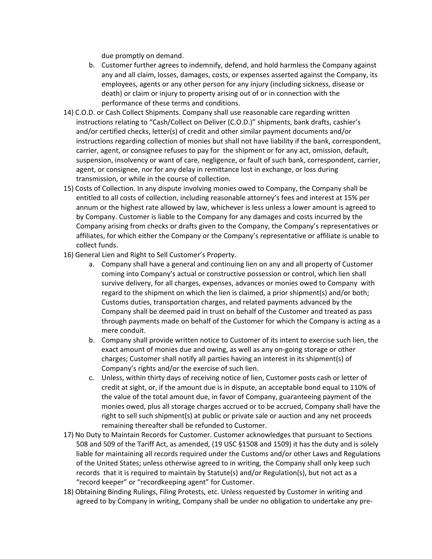due promptly on demand.

- b. Customer further agrees to indemnify, defend, and hold harmless the Company against any and all claim, losses, damages, costs, or expenses asserted against the Company, its employees, agents or any other person for any injury (including sickness, disease or death) or claim or injury to property arising out of or in connection with the performance of these terms and conditions.
- 14) C.O.D. or Cash Collect Shipments. Company shall use reasonable care regarding written instructions relating to "Cash/Collect on Deliver (C.O.D.)" shipments, bank drafts, cashier's and/or certified checks, letter(s) of credit and other similar payment documents and/or instructions regarding collection of monies but shall not have liability if the bank, correspondent, carrier, agent, or consignee refuses to pay for the shipment or for any act, omission, default, suspension, insolvency or want of care, negligence, or fault of such bank, correspondent, carrier, agent, or consignee, nor for any delay in remittance lost in exchange, or loss during transmission, or while in the course of collection.
- 15) Costs of Collection. In any dispute involving monies owed to Company, the Company shall be entitled to all costs of collection, including reasonable attorney's fees and interest at 15% per annum or the highest rate allowed by law, whichever is less unless a lower amount is agreed to by Company. Customer is liable to the Company for any damages and costs incurred by the Company arising from checks or drafts given to the Company, the Company's representatives or affiliates, for which either the Company or the Company's representative or affiliate is unable to collect funds.
- 16) General Lien and Right to Sell Customer's Property.
	- a. Company shall have a general and continuing lien on any and all property of Customer coming into Company's actual or constructive possession or control, which lien shall survive delivery, for all charges, expenses, advances or monies owed to Company with regard to the shipment on which the lien is claimed, a prior shipment(s) and/or both; Customs duties, transportation charges, and related payments advanced by the Company shall be deemed paid in trust on behalf of the Customer and treated as pass through payments made on behalf of the Customer for which the Company is acting as a mere conduit.
	- b. Company shall provide written notice to Customer of its intent to exercise such lien, the exact amount of monies due and owing, as well as any on‐going storage or other charges; Customer shall notify all parties having an interest in its shipment(s) of Company's rights and/or the exercise of such lien.
	- c. Unless, within thirty days of receiving notice of lien, Customer posts cash or letter of credit at sight, or, if the amount due is in dispute, an acceptable bond equal to 110% of the value of the total amount due, in favor of Company, guaranteeing payment of the monies owed, plus all storage charges accrued or to be accrued, Company shall have the right to sell such shipment(s) at public or private sale or auction and any net proceeds remaining thereafter shall be refunded to Customer.
- 17) No Duty to Maintain Records for Customer. Customer acknowledges that pursuant to Sections 508 and 509 of the Tariff Act, as amended, (19 USC §1508 and 1509) it has the duty and is solely liable for maintaining all records required under the Customs and/or other Laws and Regulations of the United States; unless otherwise agreed to in writing, the Company shall only keep such records that it is required to maintain by Statute(s) and/or Regulation(s), but not act as a "record keeper" or "recordkeeping agent" for Customer.
- 18) Obtaining Binding Rulings, Filing Protests, etc. Unless requested by Customer in writing and agreed to by Company in writing, Company shall be under no obligation to undertake any pre‐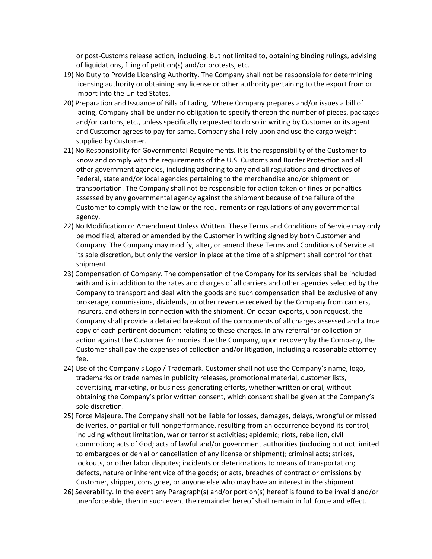or post‐Customs release action, including, but not limited to, obtaining binding rulings, advising of liquidations, filing of petition(s) and/or protests, etc.

- 19) No Duty to Provide Licensing Authority. The Company shall not be responsible for determining licensing authority or obtaining any license or other authority pertaining to the export from or import into the United States.
- 20) Preparation and Issuance of Bills of Lading. Where Company prepares and/or issues a bill of lading, Company shall be under no obligation to specify thereon the number of pieces, packages and/or cartons, etc., unless specifically requested to do so in writing by Customer or its agent and Customer agrees to pay for same. Company shall rely upon and use the cargo weight supplied by Customer.
- 21) No Responsibility for Governmental Requirements**.** It is the responsibility of the Customer to know and comply with the requirements of the U.S. Customs and Border Protection and all other government agencies, including adhering to any and all regulations and directives of Federal, state and/or local agencies pertaining to the merchandise and/or shipment or transportation. The Company shall not be responsible for action taken or fines or penalties assessed by any governmental agency against the shipment because of the failure of the Customer to comply with the law or the requirements or regulations of any governmental agency.
- 22) No Modification or Amendment Unless Written. These Terms and Conditions of Service may only be modified, altered or amended by the Customer in writing signed by both Customer and Company. The Company may modify, alter, or amend these Terms and Conditions of Service at its sole discretion, but only the version in place at the time of a shipment shall control for that shipment.
- 23) Compensation of Company. The compensation of the Company for its services shall be included with and is in addition to the rates and charges of all carriers and other agencies selected by the Company to transport and deal with the goods and such compensation shall be exclusive of any brokerage, commissions, dividends, or other revenue received by the Company from carriers, insurers, and others in connection with the shipment. On ocean exports, upon request, the Company shall provide a detailed breakout of the components of all charges assessed and a true copy of each pertinent document relating to these charges. In any referral for collection or action against the Customer for monies due the Company, upon recovery by the Company, the Customer shall pay the expenses of collection and/or litigation, including a reasonable attorney fee.
- 24) Use of the Company's Logo / Trademark. Customer shall not use the Company's name, logo, trademarks or trade names in publicity releases, promotional material, customer lists, advertising, marketing, or business‐generating efforts, whether written or oral, without obtaining the Company's prior written consent, which consent shall be given at the Company's sole discretion.
- 25) Force Majeure. The Company shall not be liable for losses, damages, delays, wrongful or missed deliveries, or partial or full nonperformance, resulting from an occurrence beyond its control, including without limitation, war or terrorist activities; epidemic; riots, rebellion, civil commotion; acts of God; acts of lawful and/or government authorities (including but not limited to embargoes or denial or cancellation of any license or shipment); criminal acts; strikes, lockouts, or other labor disputes; incidents or deteriorations to means of transportation; defects, nature or inherent vice of the goods; or acts, breaches of contract or omissions by Customer, shipper, consignee, or anyone else who may have an interest in the shipment.
- 26) Severability. In the event any Paragraph(s) and/or portion(s) hereof is found to be invalid and/or unenforceable, then in such event the remainder hereof shall remain in full force and effect.